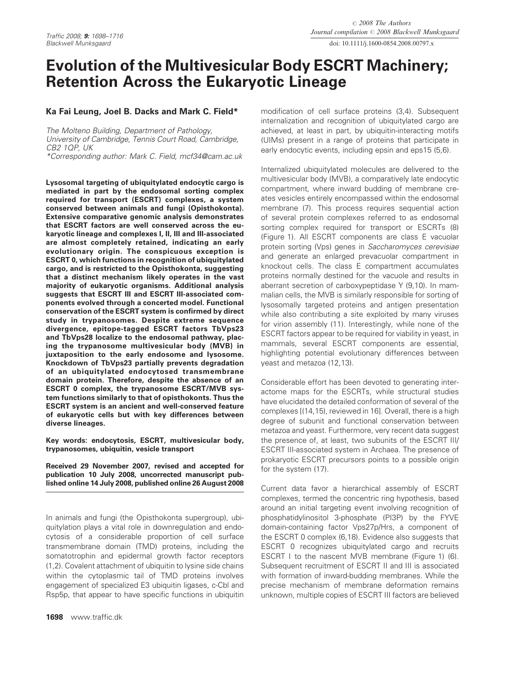doi: 10.1111/j.1600-0854.2008.00797.x

# Evolution of the Multivesicular Body ESCRT Machinery; Retention Across the Eukaryotic Lineage

# Ka Fai Leung, Joel B. Dacks and Mark C. Field\*

The Molteno Building, Department of Pathology, University of Cambridge, Tennis Court Road, Cambridge, CB2 1QP, UK

\*Corresponding author: Mark C. Field, mcf34@cam.ac.uk

Lysosomal targeting of ubiquitylated endocytic cargo is mediated in part by the endosomal sorting complex required for transport (ESCRT) complexes, a system conserved between animals and fungi (Opisthokonta). Extensive comparative genomic analysis demonstrates that ESCRT factors are well conserved across the eukaryotic lineage and complexes I, II, III and III-associated are almost completely retained, indicating an early evolutionary origin. The conspicuous exception is ESCRT 0, which functions in recognition of ubiquitylated cargo, and is restricted to the Opisthokonta, suggesting that a distinct mechanism likely operates in the vast majority of eukaryotic organisms. Additional analysis suggests that ESCRT III and ESCRT III-associated components evolved through a concerted model. Functional conservation of the ESCRT system is confirmed by direct study in trypanosomes. Despite extreme sequence divergence, epitope-tagged ESCRT factors TbVps23 and TbVps28 localize to the endosomal pathway, placing the trypanosome multivesicular body (MVB) in juxtaposition to the early endosome and lysosome. Knockdown of TbVps23 partially prevents degradation of an ubiquitylated endocytosed transmembrane domain protein. Therefore, despite the absence of an ESCRT 0 complex, the trypanosome ESCRT/MVB system functions similarly to that of opisthokonts. Thus the ESCRT system is an ancient and well-conserved feature of eukaryotic cells but with key differences between diverse lineages.

Key words: endocytosis, ESCRT, multivesicular body, trypanosomes, ubiquitin, vesicle transport

Received 29 November 2007, revised and accepted for publication 10 July 2008, uncorrected manuscript published online 14 July 2008, published online 26 August 2008

In animals and fungi (the Opisthokonta supergroup), ubiquitylation plays a vital role in downregulation and endocytosis of a considerable proportion of cell surface transmembrane domain (TMD) proteins, including the somatotrophin and epidermal growth factor receptors (1,2). Covalent attachment of ubiquitin to lysine side chains within the cytoplasmic tail of TMD proteins involves engagement of specialized E3 ubiquitin ligases, c-Cbl and Rsp5p, that appear to have specific functions in ubiquitin

modification of cell surface proteins (3,4). Subsequent internalization and recognition of ubiquitylated cargo are achieved, at least in part, by ubiquitin-interacting motifs (UIMs) present in a range of proteins that participate in early endocytic events, including epsin and eps15 (5,6).

Internalized ubiquitylated molecules are delivered to the multivesicular body (MVB), a comparatively late endocytic compartment, where inward budding of membrane creates vesicles entirely encompassed within the endosomal membrane (7). This process requires sequential action of several protein complexes referred to as endosomal sorting complex required for transport or ESCRTs (8) (Figure 1). All ESCRT components are class E vacuolar protein sorting (Vps) genes in Saccharomyces cerevisiae and generate an enlarged prevacuolar compartment in knockout cells. The class E compartment accumulates proteins normally destined for the vacuole and results in aberrant secretion of carboxypeptidase Y (9,10). In mammalian cells, the MVB is similarly responsible for sorting of lysosomally targeted proteins and antigen presentation while also contributing a site exploited by many viruses for virion assembly (11). Interestingly, while none of the ESCRT factors appear to be required for viability in yeast, in mammals, several ESCRT components are essential, highlighting potential evolutionary differences between yeast and metazoa (12,13).

Considerable effort has been devoted to generating interactome maps for the ESCRTs, while structural studies have elucidated the detailed conformation of several of the complexes [(14,15), reviewed in 16]. Overall, there is a high degree of subunit and functional conservation between metazoa and yeast. Furthermore, very recent data suggest the presence of, at least, two subunits of the ESCRT III/ ESCRT III-associated system in Archaea. The presence of prokaryotic ESCRT precursors points to a possible origin for the system (17).

Current data favor a hierarchical assembly of ESCRT complexes, termed the concentric ring hypothesis, based around an initial targeting event involving recognition of phosphatidylinositol 3-phosphate (PI3P) by the FYVE domain-containing factor Vps27p/Hrs, a component of the ESCRT 0 complex (6,18). Evidence also suggests that ESCRT 0 recognizes ubiquitylated cargo and recruits ESCRT I to the nascent MVB membrane (Figure 1) (6). Subsequent recruitment of ESCRT II and III is associated with formation of inward-budding membranes. While the precise mechanism of membrane deformation remains unknown, multiple copies of ESCRT III factors are believed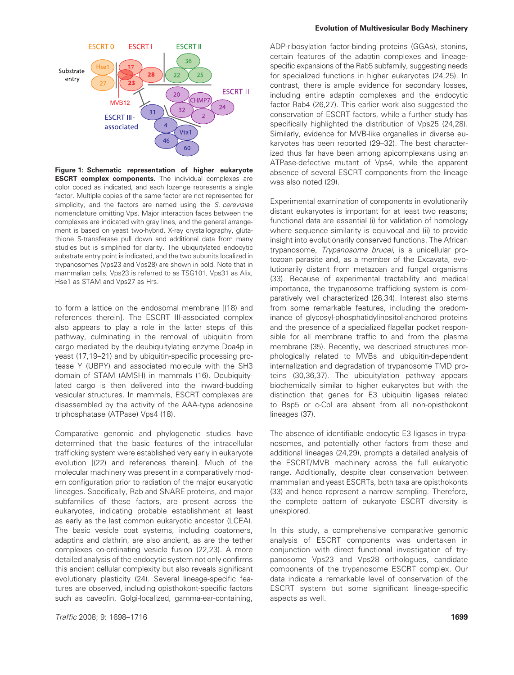

Figure 1: Schematic representation of higher eukaryote **ESCRT complex components.** The individual complexes are color coded as indicated, and each lozenge represents a single factor. Multiple copies of the same factor are not represented for simplicity, and the factors are named using the S. cerevisiae nomenclature omitting Vps. Major interaction faces between the complexes are indicated with gray lines, and the general arrangement is based on yeast two-hybrid, X-ray crystallography, glutathione S-transferase pull down and additional data from many studies but is simplified for clarity. The ubiquitylated endocytic substrate entry point is indicated, and the two subunits localized in trypanosomes (Vps23 and Vps28) are shown in bold. Note that in mammalian cells, Vps23 is referred to as TSG101, Vps31 as Alix, Hse1 as STAM and Vps27 as Hrs.

to form a lattice on the endosomal membrane [(18) and references therein]. The ESCRT III-associated complex also appears to play a role in the latter steps of this pathway, culminating in the removal of ubiquitin from cargo mediated by the deubiquitylating enzyme Doa4p in yeast (17,19–21) and by ubiquitin-specific processing protease Y (UBPY) and associated molecule with the SH3 domain of STAM (AMSH) in mammals (16). Deubiquitylated cargo is then delivered into the inward-budding vesicular structures. In mammals, ESCRT complexes are disassembled by the activity of the AAA-type adenosine triphosphatase (ATPase) Vps4 (18).

Comparative genomic and phylogenetic studies have determined that the basic features of the intracellular trafficking system were established very early in eukaryote evolution [(22) and references therein]. Much of the molecular machinery was present in a comparatively modern configuration prior to radiation of the major eukaryotic lineages. Specifically, Rab and SNARE proteins, and major subfamilies of these factors, are present across the eukaryotes, indicating probable establishment at least as early as the last common eukaryotic ancestor (LCEA). The basic vesicle coat systems, including coatomers, adaptins and clathrin, are also ancient, as are the tether complexes co-ordinating vesicle fusion (22,23). A more detailed analysis of the endocytic system not only confirms this ancient cellular complexity but also reveals significant evolutionary plasticity (24). Several lineage-specific features are observed, including opisthokont-specific factors such as caveolin, Golgi-localized, gamma-ear-containing,

#### Evolution of Multivesicular Body Machinery

ADP-ribosylation factor-binding proteins (GGAs), stonins, certain features of the adaptin complexes and lineagespecific expansions of the Rab5 subfamily, suggesting needs for specialized functions in higher eukaryotes (24,25). In contrast, there is ample evidence for secondary losses, including entire adaptin complexes and the endocytic factor Rab4 (26,27). This earlier work also suggested the conservation of ESCRT factors, while a further study has specifically highlighted the distribution of Vps25 (24,28). Similarly, evidence for MVB-like organelles in diverse eukaryotes has been reported (29–32). The best characterized thus far have been among apicomplexans using an ATPase-defective mutant of Vps4, while the apparent absence of several ESCRT components from the lineage was also noted (29).

Experimental examination of components in evolutionarily distant eukaryotes is important for at least two reasons; functional data are essential (i) for validation of homology where sequence similarity is equivocal and (ii) to provide insight into evolutionarily conserved functions. The African trypanosome, Trypanosoma brucei, is a unicellular protozoan parasite and, as a member of the Excavata, evolutionarily distant from metazoan and fungal organisms (33). Because of experimental tractability and medical importance, the trypanosome trafficking system is comparatively well characterized (26,34). Interest also stems from some remarkable features, including the predominance of glycosyl-phosphatidylinositol-anchored proteins and the presence of a specialized flagellar pocket responsible for all membrane traffic to and from the plasma membrane (35). Recently, we described structures morphologically related to MVBs and ubiquitin-dependent internalization and degradation of trypanosome TMD proteins (30,36,37). The ubiquitylation pathway appears biochemically similar to higher eukaryotes but with the distinction that genes for E3 ubiquitin ligases related to Rsp5 or c-Cbl are absent from all non-opisthokont lineages (37).

The absence of identifiable endocytic E3 ligases in trypanosomes, and potentially other factors from these and additional lineages (24,29), prompts a detailed analysis of the ESCRT/MVB machinery across the full eukaryotic range. Additionally, despite clear conservation between mammalian and yeast ESCRTs, both taxa are opisthokonts (33) and hence represent a narrow sampling. Therefore, the complete pattern of eukaryote ESCRT diversity is unexplored.

In this study, a comprehensive comparative genomic analysis of ESCRT components was undertaken in conjunction with direct functional investigation of trypanosome Vps23 and Vps28 orthologues, candidate components of the trypanosome ESCRT complex. Our data indicate a remarkable level of conservation of the ESCRT system but some significant lineage-specific aspects as well.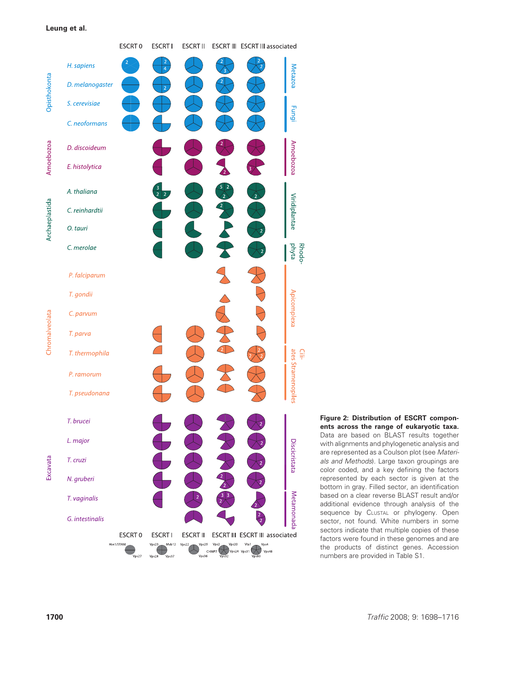

Figure 2: Distribution of ESCRT components across the range of eukaryotic taxa. Data are based on BLAST results together with alignments and phylogenetic analysis and are represented as a Coulson plot (see Materials and Methods). Large taxon groupings are color coded, and a key defining the factors represented by each sector is given at the bottom in gray. Filled sector, an identification based on a clear reverse BLAST result and/or additional evidence through analysis of the sequence by CLUSTAL or phylogeny. Open sector, not found. White numbers in some sectors indicate that multiple copies of these factors were found in these genomes and are the products of distinct genes. Accession numbers are provided in Table S1.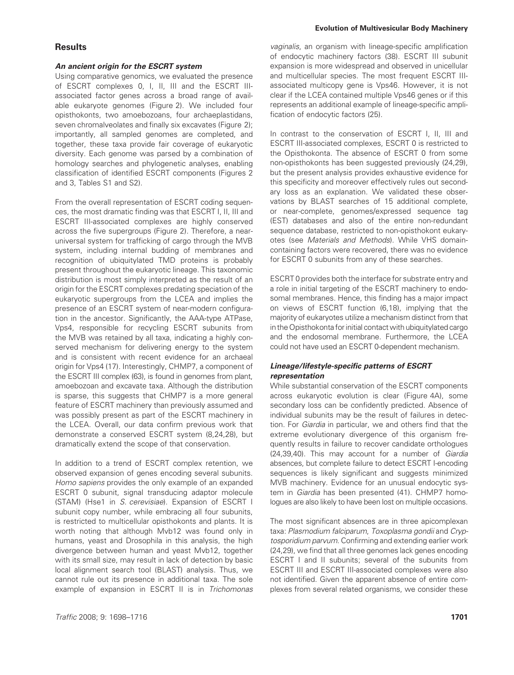# **Results**

#### An ancient origin for the ESCRT system

Using comparative genomics, we evaluated the presence of ESCRT complexes 0, I, II, III and the ESCRT IIIassociated factor genes across a broad range of available eukaryote genomes (Figure 2). We included four opisthokonts, two amoebozoans, four archaeplastidans, seven chromalveolates and finally six excavates (Figure 2); importantly, all sampled genomes are completed, and together, these taxa provide fair coverage of eukaryotic diversity. Each genome was parsed by a combination of homology searches and phylogenetic analyses, enabling classification of identified ESCRT components (Figures 2 and 3, Tables S1 and S2).

From the overall representation of ESCRT coding sequences, the most dramatic finding was that ESCRT I, II, III and ESCRT III-associated complexes are highly conserved across the five supergroups (Figure 2). Therefore, a nearuniversal system for trafficking of cargo through the MVB system, including internal budding of membranes and recognition of ubiquitylated TMD proteins is probably present throughout the eukaryotic lineage. This taxonomic distribution is most simply interpreted as the result of an origin for the ESCRT complexes predating speciation of the eukaryotic supergroups from the LCEA and implies the presence of an ESCRT system of near-modern configuration in the ancestor. Significantly, the AAA-type ATPase, Vps4, responsible for recycling ESCRT subunits from the MVB was retained by all taxa, indicating a highly conserved mechanism for delivering energy to the system and is consistent with recent evidence for an archaeal origin for Vps4 (17). Interestingly, CHMP7, a component of the ESCRT III complex (63), is found in genomes from plant, amoebozoan and excavate taxa. Although the distribution is sparse, this suggests that CHMP7 is a more general feature of ESCRT machinery than previously assumed and was possibly present as part of the ESCRT machinery in the LCEA. Overall, our data confirm previous work that demonstrate a conserved ESCRT system (8,24,28), but dramatically extend the scope of that conservation.

In addition to a trend of ESCRT complex retention, we observed expansion of genes encoding several subunits. Homo sapiens provides the only example of an expanded ESCRT 0 subunit, signal transducing adaptor molecule (STAM) (Hse1 in S. cerevisiae). Expansion of ESCRT I subunit copy number, while embracing all four subunits, is restricted to multicellular opisthokonts and plants. It is worth noting that although Mvb12 was found only in humans, yeast and Drosophila in this analysis, the high divergence between human and yeast Mvb12, together with its small size, may result in lack of detection by basic local alignment search tool (BLAST) analysis. Thus, we cannot rule out its presence in additional taxa. The sole example of expansion in ESCRT II is in Trichomonas

vaginalis, an organism with lineage-specific amplification of endocytic machinery factors (38). ESCRT III subunit expansion is more widespread and observed in unicellular and multicellular species. The most frequent ESCRT IIIassociated multicopy gene is Vps46. However, it is not clear if the LCEA contained multiple Vps46 genes or if this represents an additional example of lineage-specific amplification of endocytic factors (25).

In contrast to the conservation of ESCRT I, II, III and ESCRT III-associated complexes, ESCRT 0 is restricted to the Opisthokonta. The absence of ESCRT 0 from some non-opisthokonts has been suggested previously (24,29), but the present analysis provides exhaustive evidence for this specificity and moreover effectively rules out secondary loss as an explanation. We validated these observations by BLAST searches of 15 additional complete, or near-complete, genomes/expressed sequence tag (EST) databases and also of the entire non-redundant sequence database, restricted to non-opisthokont eukaryotes (see Materials and Methods). While VHS domaincontaining factors were recovered, there was no evidence for ESCRT 0 subunits from any of these searches.

ESCRT 0 provides both the interface for substrate entry and a role in initial targeting of the ESCRT machinery to endosomal membranes. Hence, this finding has a major impact on views of ESCRT function (6,18), implying that the majority of eukaryotes utilize a mechanism distinct from that in the Opisthokonta for initial contact with ubiquitylated cargo and the endosomal membrane. Furthermore, the LCEA could not have used an ESCRT 0-dependent mechanism.

## Lineage/lifestyle-specific patterns of ESCRT representation

While substantial conservation of the ESCRT components across eukaryotic evolution is clear (Figure 4A), some secondary loss can be confidently predicted. Absence of individual subunits may be the result of failures in detection. For Giardia in particular, we and others find that the extreme evolutionary divergence of this organism frequently results in failure to recover candidate orthologues (24,39,40). This may account for a number of Giardia absences, but complete failure to detect ESCRT I-encoding sequences is likely significant and suggests minimized MVB machinery. Evidence for an unusual endocytic system in Giardia has been presented (41). CHMP7 homologues are also likely to have been lost on multiple occasions.

The most significant absences are in three apicomplexan taxa: Plasmodium falciparum, Toxoplasma gondii and Cryptosporidium parvum. Confirming and extending earlier work (24,29), we find that all three genomes lack genes encoding ESCRT I and II subunits; several of the subunits from ESCRT III and ESCRT III-associated complexes were also not identified. Given the apparent absence of entire complexes from several related organisms, we consider these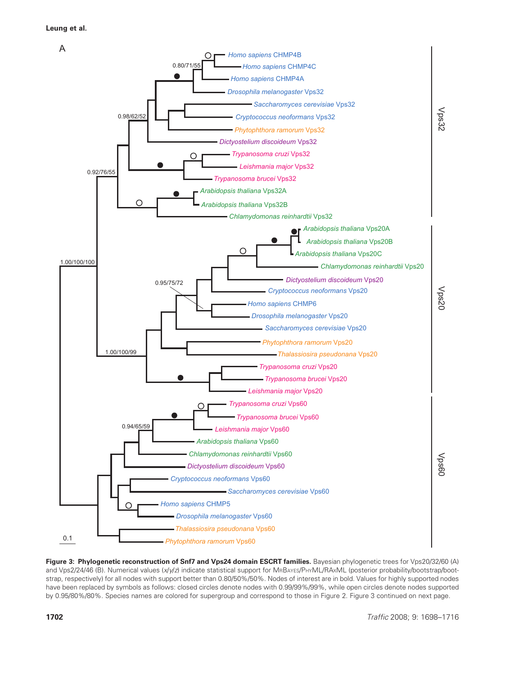

Figure 3: Phylogenetic reconstruction of Snf7 and Vps24 domain ESCRT families. Bayesian phylogenetic trees for Vps20/32/60 (A) and Vps2/24/46 (B). Numerical values (x/y/z) indicate statistical support for MRBAYES/PHYML/RAxML (posterior probability/bootstrap/bootstrap, respectively) for all nodes with support better than 0.80/50%/50%. Nodes of interest are in bold. Values for highly supported nodes have been replaced by symbols as follows: closed circles denote nodes with 0.99/99%/99%, while open circles denote nodes supported by 0.95/80%/80%. Species names are colored for supergroup and correspond to those in Figure 2. Figure 3 continued on next page.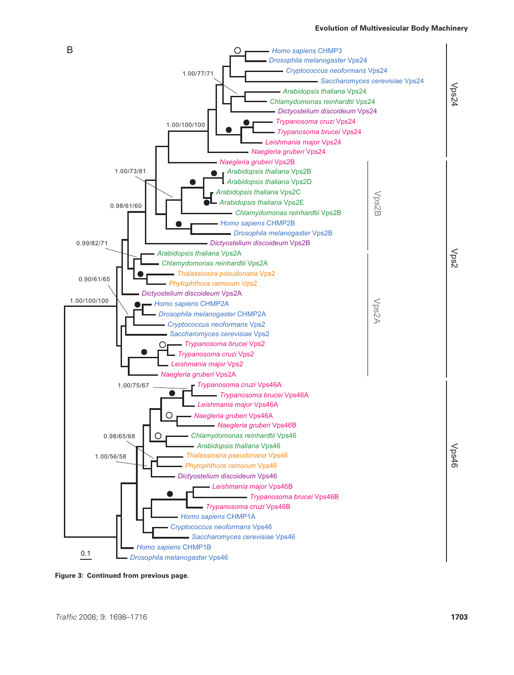

Figure 3: Continued from previous page.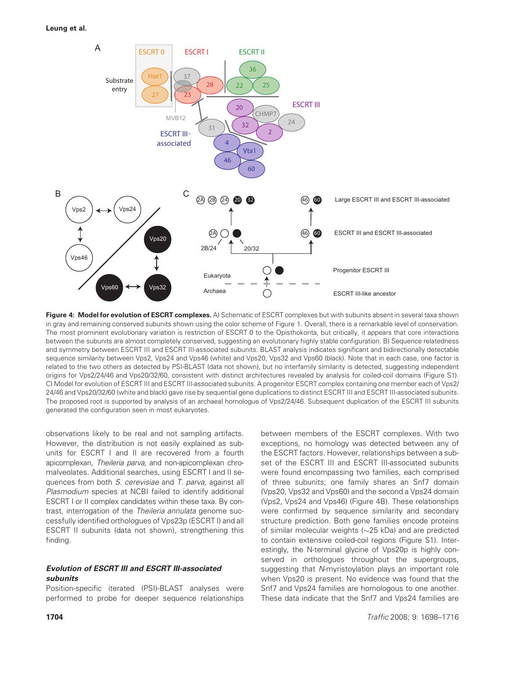

Figure 4: Model for evolution of ESCRT complexes. A) Schematic of ESCRT complexes but with subunits absent in several taxa shown in gray and remaining conserved subunits shown using the color scheme of Figure 1. Overall, there is a remarkable level of conservation. The most prominent evolutionary variation is restriction of ESCRT 0 to the Opisthokonta, but critically, it appears that core interactions between the subunits are almost completely conserved, suggesting an evolutionary highly stable configuration. B) Sequence relatedness and symmetry between ESCRT III and ESCRT III-associated subunits. BLAST analysis indicates significant and bidirectionally detectable sequence similarity between Vps2, Vps24 and Vps46 (white) and Vps20, Vps32 and Vps60 (black). Note that in each case, one factor is related to the two others as detected by PSI-BLAST (data not shown), but no interfamily similarity is detected, suggesting independent origins for Vps2/24/46 and Vps20/32/60, consistent with distinct architectures revealed by analysis for coiled-coil domains (Figure S1). C) Model for evolution of ESCRT III and ESCRT III-associated subunits. A progenitor ESCRT complex containing one member each of Vps2/ 24/46 and Vps20/32/60 (white and black) gave rise by sequential gene duplications to distinct ESCRT III and ESCRT III-associated subunits. The proposed root is supported by analysis of an archaeal homologue of Vps2/24/46. Subsequent duplication of the ESCRT III subunits generated the configuration seen in most eukaryotes.

observations likely to be real and not sampling artifacts. However, the distribution is not easily explained as subunits for ESCRT I and II are recovered from a fourth apicomplexan, Theileria parva, and non-apicomplexan chromalveolates. Additional searches, using ESCRT I and II sequences from both S. cerevisiae and T. parva, against all Plasmodium species at NCBI failed to identify additional ESCRT I or II complex candidates within these taxa. By contrast, interrogation of the Theileria annulata genome successfully identified orthologues of Vps23p (ESCRT I) and all ESCRT II subunits (data not shown), strengthening this finding.

# Evolution of ESCRT III and ESCRT III-associated subunits

Position-specific iterated (PSI)-BLAST analyses were performed to probe for deeper sequence relationships

between members of the ESCRT complexes. With two exceptions, no homology was detected between any of the ESCRT factors. However, relationships between a subset of the ESCRT III and ESCRT III-associated subunits were found encompassing two families, each comprised of three subunits; one family shares an Snf7 domain (Vps20, Vps32 and Vps60) and the second a Vps24 domain (Vps2, Vps24 and Vps46) (Figure 4B). These relationships were confirmed by sequence similarity and secondary structure prediction. Both gene families encode proteins of similar molecular weights  $(\sim 25$  kDa) and are predicted to contain extensive coiled-coil regions (Figure S1). Interestingly, the N-terminal glycine of Vps20p is highly conserved in orthologues throughout the supergroups, suggesting that N-myristoylation plays an important role when Vps20 is present. No evidence was found that the Snf7 and Vps24 families are homologous to one another. These data indicate that the Snf7 and Vps24 families are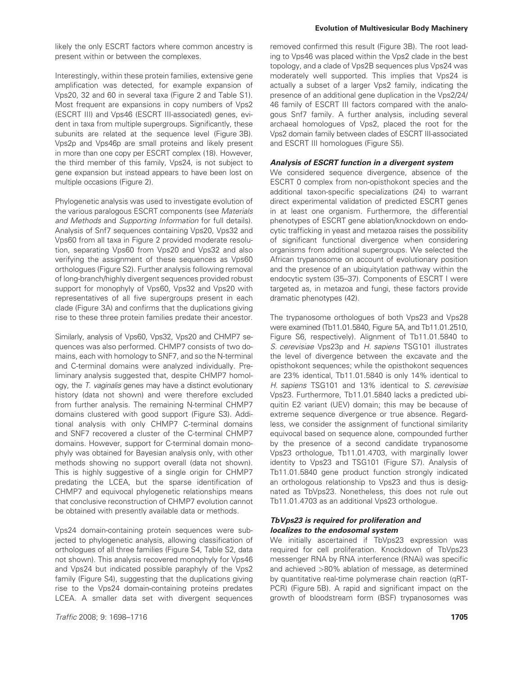likely the only ESCRT factors where common ancestry is present within or between the complexes.

Interestingly, within these protein families, extensive gene amplification was detected, for example expansion of Vps20, 32 and 60 in several taxa (Figure 2 and Table S1). Most frequent are expansions in copy numbers of Vps2 (ESCRT III) and Vps46 (ESCRT III-associated) genes, evident in taxa from multiple supergroups. Significantly, these subunits are related at the sequence level (Figure 3B). Vps2p and Vps46p are small proteins and likely present in more than one copy per ESCRT complex (18). However, the third member of this family, Vps24, is not subject to gene expansion but instead appears to have been lost on multiple occasions (Figure 2).

Phylogenetic analysis was used to investigate evolution of the various paralogous ESCRT components (see Materials and Methods and Supporting Information for full details). Analysis of Snf7 sequences containing Vps20, Vps32 and Vps60 from all taxa in Figure 2 provided moderate resolution, separating Vps60 from Vps20 and Vps32 and also verifying the assignment of these sequences as Vps60 orthologues (Figure S2). Further analysis following removal of long-branch/highly divergent sequences provided robust support for monophyly of Vps60, Vps32 and Vps20 with representatives of all five supergroups present in each clade (Figure 3A) and confirms that the duplications giving rise to these three protein families predate their ancestor.

Similarly, analysis of Vps60, Vps32, Vps20 and CHMP7 sequences was also performed. CHMP7 consists of two domains, each with homology to SNF7, and so the N-terminal and C-terminal domains were analyzed individually. Preliminary analysis suggested that, despite CHMP7 homology, the T. vaginalis genes may have a distinct evolutionary history (data not shown) and were therefore excluded from further analysis. The remaining N-terminal CHMP7 domains clustered with good support (Figure S3). Additional analysis with only CHMP7 C-terminal domains and SNF7 recovered a cluster of the C-terminal CHMP7 domains. However, support for C-terminal domain monophyly was obtained for Bayesian analysis only, with other methods showing no support overall (data not shown). This is highly suggestive of a single origin for CHMP7 predating the LCEA, but the sparse identification of CHMP7 and equivocal phylogenetic relationships means that conclusive reconstruction of CHMP7 evolution cannot be obtained with presently available data or methods.

Vps24 domain-containing protein sequences were subjected to phylogenetic analysis, allowing classification of orthologues of all three families (Figure S4, Table S2, data not shown). This analysis recovered monophyly for Vps46 and Vps24 but indicated possible paraphyly of the Vps2 family (Figure S4), suggesting that the duplications giving rise to the Vps24 domain-containing proteins predates LCEA. A smaller data set with divergent sequences

removed confirmed this result (Figure 3B). The root leading to Vps46 was placed within the Vps2 clade in the best topology, and a clade of Vps2B sequences plus Vps24 was moderately well supported. This implies that Vps24 is actually a subset of a larger Vps2 family, indicating the presence of an additional gene duplication in the Vps2/24/ 46 family of ESCRT III factors compared with the analogous Snf7 family. A further analysis, including several archaeal homologues of Vps2, placed the root for the Vps2 domain family between clades of ESCRT III-associated and ESCRT III homologues (Figure S5).

## Analysis of ESCRT function in a divergent system

We considered sequence divergence, absence of the ESCRT 0 complex from non-opisthokont species and the additional taxon-specific specializations (24) to warrant direct experimental validation of predicted ESCRT genes in at least one organism. Furthermore, the differential phenotypes of ESCRT gene ablation/knockdown on endocytic trafficking in yeast and metazoa raises the possibility of significant functional divergence when considering organisms from additional supergroups. We selected the African trypanosome on account of evolutionary position and the presence of an ubiquitylation pathway within the endocytic system (35–37). Components of ESCRT I were targeted as, in metazoa and fungi, these factors provide dramatic phenotypes (42).

The trypanosome orthologues of both Vps23 and Vps28 were examined (Tb11.01.5840, Figure 5A, and Tb11.01.2510, Figure S6, respectively). Alignment of Tb11.01.5840 to S. cerevisiae Vps23p and H. sapiens TSG101 illustrates the level of divergence between the excavate and the opisthokont sequences; while the opisthokont sequences are 23% identical, Tb11.01.5840 is only 14% identical to H. sapiens TSG101 and 13% identical to S. cerevisiae Vps23. Furthermore, Tb11.01.5840 lacks a predicted ubiquitin E2 variant (UEV) domain; this may be because of extreme sequence divergence or true absence. Regardless, we consider the assignment of functional similarity equivocal based on sequence alone, compounded further by the presence of a second candidate trypanosome Vps23 orthologue, Tb11.01.4703, with marginally lower identity to Vps23 and TSG101 (Figure S7). Analysis of Tb11.01.5840 gene product function strongly indicated an orthologous relationship to Vps23 and thus is designated as TbVps23. Nonetheless, this does not rule out Tb11.01.4703 as an additional Vps23 orthologue.

## TbVps23 is required for proliferation and localizes to the endosomal system

We initially ascertained if TbVps23 expression was required for cell proliferation. Knockdown of TbVps23 messenger RNA by RNA interference (RNAi) was specific and achieved >80% ablation of message, as determined by quantitative real-time polymerase chain reaction (qRT-PCR) (Figure 5B). A rapid and significant impact on the growth of bloodstream form (BSF) trypanosomes was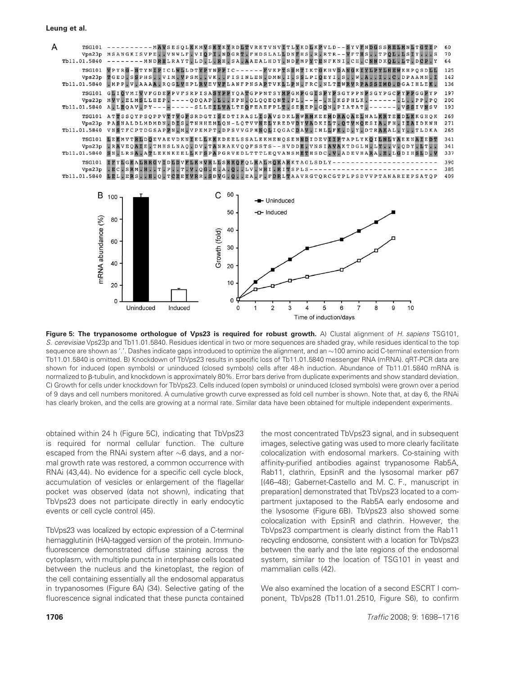

Figure 5: The trypanosome orthologue of Vps23 is required for robust growth. A) Clustal alignment of H. sapiens TSG101, S. cerevisiae Vps23p and Tb11.01.5840. Residues identical in two or more sequences are shaded gray, while residues identical to the top sequence are shown as '.'. Dashes indicate gaps introduced to optimize the alignment, and an  $\sim$ 100 amino acid C-terminal extension from Tb11.01.5840 is omitted. B) Knockdown of TbVps23 results in specific loss of Tb11.01.5840 messenger RNA (mRNA). qRT-PCR data are shown for induced (open symbols) or uninduced (closed symbols) cells after 48-h induction. Abundance of Tb11.01.5840 mRNA is normalized to  $\beta$ -tubulin, and knockdown is approximately 80%. Error bars derive from duplicate experiments and show standard deviation. C) Growth for cells under knockdown for TbVps23. Cells induced (open symbols) or uninduced (closed symbols) were grown over a period of 9 days and cell numbers monitored. A cumulative growth curve expressed as fold cell number is shown. Note that, at day 6, the RNAi has clearly broken, and the cells are growing at a normal rate. Similar data have been obtained for multiple independent experiments.

obtained within 24 h (Figure 5C), indicating that TbVps23 is required for normal cellular function. The culture escaped from the RNAi system after  $\sim$ 6 days, and a normal growth rate was restored, a common occurrence with RNAi (43,44). No evidence for a specific cell cycle block, accumulation of vesicles or enlargement of the flagellar pocket was observed (data not shown), indicating that TbVps23 does not participate directly in early endocytic events or cell cycle control (45).

TbVps23 was localized by ectopic expression of a C-terminal hemagglutinin (HA)-tagged version of the protein. Immunofluorescence demonstrated diffuse staining across the cytoplasm, with multiple puncta in interphase cells located between the nucleus and the kinetoplast, the region of the cell containing essentially all the endosomal apparatus in trypanosomes (Figure 6A) (34). Selective gating of the fluorescence signal indicated that these puncta contained

the most concentrated TbVps23 signal, and in subsequent images, selective gating was used to more clearly facilitate colocalization with endosomal markers. Co-staining with affinity-purified antibodies against trypanosome Rab5A, Rab11, clathrin, EpsinR and the lysosomal marker p67 [(46–48); Gabernet-Castello and M. C. F., manuscript in preparation] demonstrated that TbVps23 located to a compartment juxtaposed to the Rab5A early endosome and the lysosome (Figure 6B). TbVps23 also showed some colocalization with EpsinR and clathrin. However, the TbVps23 compartment is clearly distinct from the Rab11 recycling endosome, consistent with a location for TbVps23 between the early and the late regions of the endosomal system, similar to the location of TSG101 in yeast and mammalian cells (42).

We also examined the location of a second ESCRT I component, TbVps28 (Tb11.01.2510, Figure S6), to confirm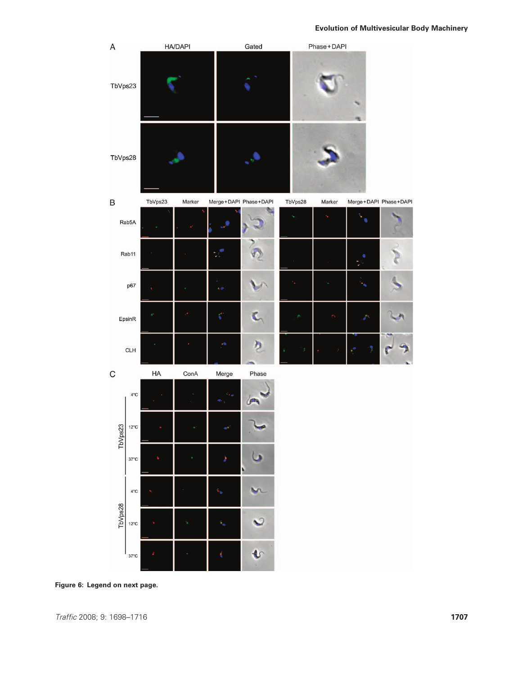

Figure 6: Legend on next page.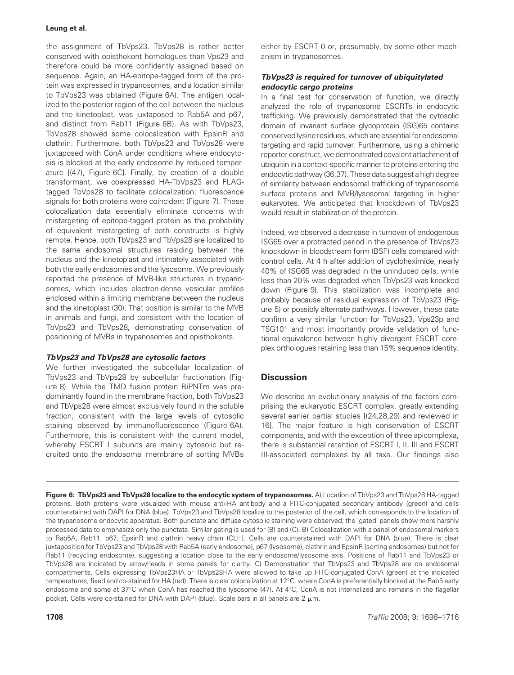the assignment of TbVps23. TbVps28 is rather better conserved with opisthokont homologues than Vps23 and therefore could be more confidently assigned based on sequence. Again, an HA-epitope-tagged form of the protein was expressed in trypanosomes, and a location similar to TbVps23 was obtained (Figure 6A). The antigen localized to the posterior region of the cell between the nucleus and the kinetoplast, was juxtaposed to Rab5A and p67, and distinct from Rab11 (Figure 6B). As with TbVps23, TbVps28 showed some colocalization with EpsinR and clathrin. Furthermore, both TbVps23 and TbVps28 were juxtaposed with ConA under conditions where endocytosis is blocked at the early endosome by reduced temperature [(47), Figure 6C]. Finally, by creation of a double transformant, we coexpressed HA-TbVps23 and FLAGtagged TbVps28 to facilitate colocalization; fluorescence signals for both proteins were coincident (Figure 7). These colocalization data essentially eliminate concerns with mistargeting of epitope-tagged protein as the probability of equivalent mistargeting of both constructs is highly remote. Hence, both TbVps23 and TbVps28 are localized to the same endosomal structures residing between the nucleus and the kinetoplast and intimately associated with both the early endosomes and the lysosome. We previously reported the presence of MVB-like structures in trypanosomes, which includes electron-dense vesicular profiles enclosed within a limiting membrane between the nucleus and the kinetoplast (30). That position is similar to the MVB in animals and fungi, and consistent with the location of TbVps23 and TbVps28, demonstrating conservation of positioning of MVBs in trypanosomes and opisthokonts.

## TbVps23 and TbVps28 are cytosolic factors

We further investigated the subcellular localization of TbVps23 and TbVps28 by subcellular fractionation (Figure 8). While the TMD fusion protein BiPNTm was predominantly found in the membrane fraction, both TbVps23 and TbVps28 were almost exclusively found in the soluble fraction, consistent with the large levels of cytosolic staining observed by immunofluorescence (Figure 6A). Furthermore, this is consistent with the current model, whereby ESCRT I subunits are mainly cytosolic but recruited onto the endosomal membrane of sorting MVBs either by ESCRT 0 or, presumably, by some other mechanism in trypanosomes.

# TbVps23 is required for turnover of ubiquitylated endocytic cargo proteins

In a final test for conservation of function, we directly analyzed the role of trypanosome ESCRTs in endocytic trafficking. We previously demonstrated that the cytosolic domain of invariant surface glycoprotein (ISG)65 contains conserved lysine residues, which are essential for endosomal targeting and rapid turnover. Furthermore, using a chimeric reporter construct, we demonstrated covalent attachment of ubiquitin in a context-specific manner to proteins entering the endocytic pathway (36,37). These data suggest a high degree of similarity between endosomal trafficking of trypanosome surface proteins and MVB/lysosomal targeting in higher eukaryotes. We anticipated that knockdown of TbVps23 would result in stabilization of the protein.

Indeed, we observed a decrease in turnover of endogenous ISG65 over a protracted period in the presence of TbVps23 knockdown in bloodstream form (BSF) cells compared with control cells. At 4 h after addition of cycloheximide, nearly 40% of ISG65 was degraded in the uninduced cells, while less than 20% was degraded when TbVps23 was knocked down (Figure 9). This stabilization was incomplete and probably because of residual expression of TbVps23 (Figure 5) or possibly alternate pathways. However, these data confirm a very similar function for TbVps23, Vps23p and TSG101 and most importantly provide validation of functional equivalence between highly divergent ESCRT complex orthologues retaining less than 15% sequence identity.

# **Discussion**

We describe an evolutionary analysis of the factors comprising the eukaryotic ESCRT complex, greatly extending several earlier partial studies [(24,28,29) and reviewed in 16]. The major feature is high conservation of ESCRT components, and with the exception of three apicomplexa, there is substantial retention of ESCRT I, II, III and ESCRT III-associated complexes by all taxa. Our findings also

Figure 6: TbVps23 and TbVps28 localize to the endocytic system of trypanosomes. A) Location of TbVps23 and TbVps28 HA-tagged proteins. Both proteins were visualized with mouse anti-HA antibody and a FITC-conjugated secondary antibody (green) and cells counterstained with DAPI for DNA (blue). TbVps23 and TbVps28 localize to the posterior of the cell, which corresponds to the location of the trypanosome endocytic apparatus. Both punctate and diffuse cytosolic staining were observed; the 'gated' panels show more harshly processed data to emphasize only the punctata. Similar gating is used for (B) and (C). B) Colocalization with a panel of endosomal markers to Rab5A, Rab11, p67, EpsinR and clathrin heavy chain (CLH). Cells are counterstained with DAPI for DNA (blue). There is clear juxtaposition for TbVps23 and TbVps28 with Rab5A (early endosome), p67 (lysosome), clathrin and EpsinR (sorting endosomes) but not for Rab11 (recycling endosome), suggesting a location close to the early endosome/lysosome axis. Positions of Rab11 and TbVps23 or TbVps28 are indicated by arrowheads in some panels for clarity. C) Demonstration that TbVps23 and TbVps28 are on endosomal compartments. Cells expressing TbVps23HA or TbVps28HA were allowed to take up FITC-conjugated ConA (green) at the indicated temperatures, fixed and co-stained for HA (red). There is clear colocalization at 12°C, where ConA is preferentially blocked at the Rab5 early endosome and some at  $37^{\circ}$ C when ConA has reached the lysosome (47). At  $4^{\circ}$ C, ConA is not internalized and remains in the flagellar pocket. Cells were co-stained for DNA with DAPI (blue). Scale bars in all panels are  $2 \mu m$ .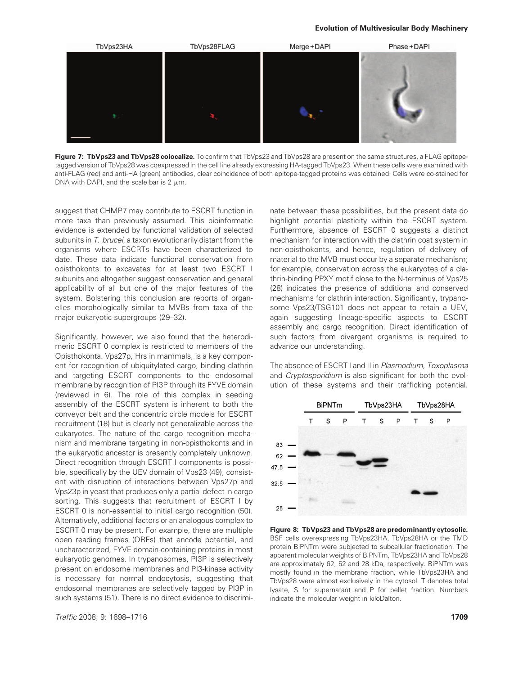

Figure 7: TbVps23 and TbVps28 colocalize. To confirm that TbVps23 and TbVps28 are present on the same structures, a FLAG epitopetagged version of TbVps28 was coexpressed in the cell line already expressing HA-tagged TbVps23. When these cells were examined with anti-FLAG (red) and anti-HA (green) antibodies, clear coincidence of both epitope-tagged proteins was obtained. Cells were co-stained for DNA with DAPI, and the scale bar is  $2 \mu m$ .

suggest that CHMP7 may contribute to ESCRT function in more taxa than previously assumed. This bioinformatic evidence is extended by functional validation of selected subunits in T. brucei, a taxon evolutionarily distant from the organisms where ESCRTs have been characterized to date. These data indicate functional conservation from opisthokonts to excavates for at least two ESCRT I subunits and altogether suggest conservation and general applicability of all but one of the major features of the system. Bolstering this conclusion are reports of organelles morphologically similar to MVBs from taxa of the major eukaryotic supergroups (29–32).

Significantly, however, we also found that the heterodimeric ESCRT 0 complex is restricted to members of the Opisthokonta. Vps27p, Hrs in mammals, is a key component for recognition of ubiquitylated cargo, binding clathrin and targeting ESCRT components to the endosomal membrane by recognition of PI3P through its FYVE domain (reviewed in 6). The role of this complex in seeding assembly of the ESCRT system is inherent to both the conveyor belt and the concentric circle models for ESCRT recruitment (18) but is clearly not generalizable across the eukaryotes. The nature of the cargo recognition mechanism and membrane targeting in non-opisthokonts and in the eukaryotic ancestor is presently completely unknown. Direct recognition through ESCRT I components is possible, specifically by the UEV domain of Vps23 (49), consistent with disruption of interactions between Vps27p and Vps23p in yeast that produces only a partial defect in cargo sorting. This suggests that recruitment of ESCRT I by ESCRT 0 is non-essential to initial cargo recognition (50). Alternatively, additional factors or an analogous complex to ESCRT 0 may be present. For example, there are multiple open reading frames (ORFs) that encode potential, and uncharacterized, FYVE domain-containing proteins in most eukaryotic genomes. In trypanosomes, PI3P is selectively present on endosome membranes and PI3-kinase activity is necessary for normal endocytosis, suggesting that endosomal membranes are selectively tagged by PI3P in such systems (51). There is no direct evidence to discrimi-

nate between these possibilities, but the present data do highlight potential plasticity within the ESCRT system. Furthermore, absence of ESCRT 0 suggests a distinct mechanism for interaction with the clathrin coat system in non-opisthokonts, and hence, regulation of delivery of material to the MVB must occur by a separate mechanism; for example, conservation across the eukaryotes of a clathrin-binding PPXY motif close to the N-terminus of Vps25 (28) indicates the presence of additional and conserved mechanisms for clathrin interaction. Significantly, trypanosome Vps23/TSG101 does not appear to retain a UEV, again suggesting lineage-specific aspects to ESCRT assembly and cargo recognition. Direct identification of such factors from divergent organisms is required to advance our understanding.

The absence of ESCRT I and II in Plasmodium, Toxoplasma and Cryptosporidium is also significant for both the evolution of these systems and their trafficking potential.



Figure 8: TbVps23 and TbVps28 are predominantly cytosolic. BSF cells overexpressing TbVps23HA, TbVps28HA or the TMD protein BiPNTm were subjected to subcellular fractionation. The apparent molecular weights of BiPNTm, TbVps23HA and TbVps28 are approximately 62, 52 and 28 kDa, respectively. BiPNTm was mostly found in the membrane fraction, while TbVps23HA and TbVps28 were almost exclusively in the cytosol. T denotes total lysate, S for supernatant and P for pellet fraction. Numbers indicate the molecular weight in kiloDalton.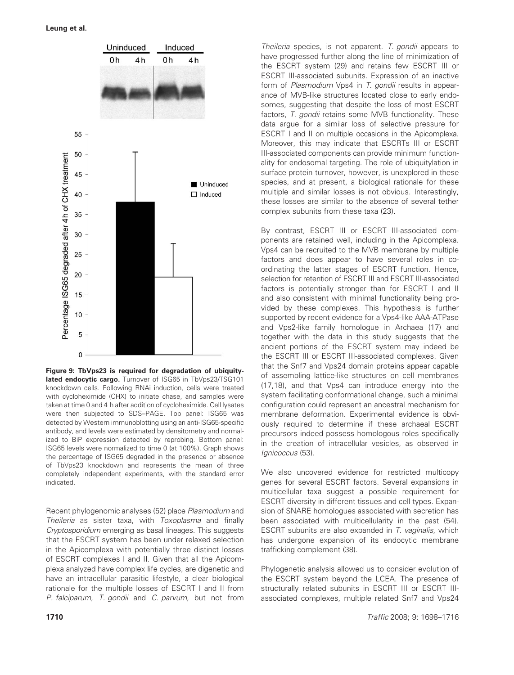

Figure 9: TbVps23 is required for degradation of ubiquitylated endocytic cargo. Turnover of ISG65 in TbVps23/TSG101 knockdown cells. Following RNAi induction, cells were treated with cycloheximide (CHX) to initiate chase, and samples were taken at time 0 and 4 h after addition of cycloheximide. Cell lysates were then subjected to SDS–PAGE. Top panel: ISG65 was detected by Western immunoblotting using an anti-ISG65-specific antibody, and levels were estimated by densitometry and normalized to BiP expression detected by reprobing. Bottom panel: ISG65 levels were normalized to time 0 (at 100%). Graph shows the percentage of ISG65 degraded in the presence or absence of TbVps23 knockdown and represents the mean of three completely independent experiments, with the standard error indicated.

Recent phylogenomic analyses (52) place Plasmodium and Theileria as sister taxa, with Toxoplasma and finally Cryptosporidium emerging as basal lineages. This suggests that the ESCRT system has been under relaxed selection in the Apicomplexa with potentially three distinct losses of ESCRT complexes I and II. Given that all the Apicomplexa analyzed have complex life cycles, are digenetic and have an intracellular parasitic lifestyle, a clear biological rationale for the multiple losses of ESCRT I and II from P. falciparum, T. gondii and C. parvum, but not from

Theileria species, is not apparent. T. gondii appears to have progressed further along the line of minimization of the ESCRT system (29) and retains few ESCRT III or ESCRT III-associated subunits. Expression of an inactive form of Plasmodium Vps4 in T. gondii results in appearance of MVB-like structures located close to early endosomes, suggesting that despite the loss of most ESCRT factors, T. gondii retains some MVB functionality. These data argue for a similar loss of selective pressure for ESCRT I and II on multiple occasions in the Apicomplexa. Moreover, this may indicate that ESCRTs III or ESCRT III-associated components can provide minimum functionality for endosomal targeting. The role of ubiquitylation in surface protein turnover, however, is unexplored in these species, and at present, a biological rationale for these multiple and similar losses is not obvious. Interestingly, these losses are similar to the absence of several tether complex subunits from these taxa (23).

By contrast, ESCRT III or ESCRT III-associated components are retained well, including in the Apicomplexa. Vps4 can be recruited to the MVB membrane by multiple factors and does appear to have several roles in coordinating the latter stages of ESCRT function. Hence, selection for retention of ESCRT III and ESCRT III-associated factors is potentially stronger than for ESCRT I and II and also consistent with minimal functionality being provided by these complexes. This hypothesis is further supported by recent evidence for a Vps4-like AAA-ATPase and Vps2-like family homologue in Archaea (17) and together with the data in this study suggests that the ancient portions of the ESCRT system may indeed be the ESCRT III or ESCRT III-associated complexes. Given that the Snf7 and Vps24 domain proteins appear capable of assembling lattice-like structures on cell membranes (17,18), and that Vps4 can introduce energy into the system facilitating conformational change, such a minimal configuration could represent an ancestral mechanism for membrane deformation. Experimental evidence is obviously required to determine if these archaeal ESCRT precursors indeed possess homologous roles specifically in the creation of intracellular vesicles, as observed in Ignicoccus (53).

We also uncovered evidence for restricted multicopy genes for several ESCRT factors. Several expansions in multicellular taxa suggest a possible requirement for ESCRT diversity in different tissues and cell types. Expansion of SNARE homologues associated with secretion has been associated with multicellularity in the past (54). ESCRT subunits are also expanded in T. vaginalis, which has undergone expansion of its endocytic membrane trafficking complement (38).

Phylogenetic analysis allowed us to consider evolution of the ESCRT system beyond the LCEA. The presence of structurally related subunits in ESCRT III or ESCRT IIIassociated complexes, multiple related Snf7 and Vps24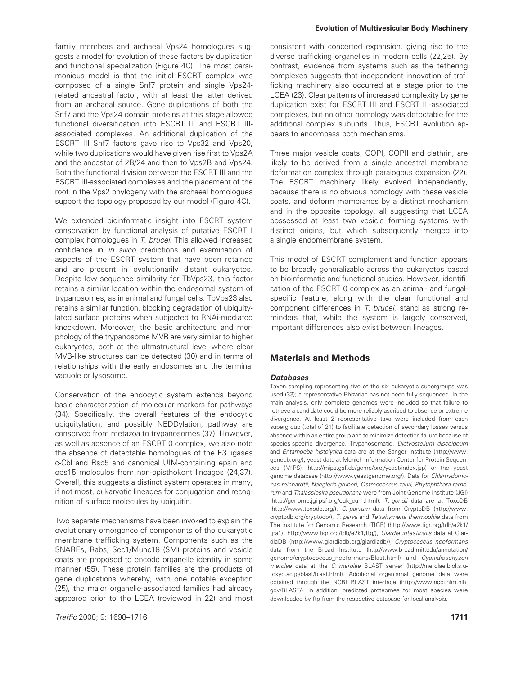family members and archaeal Vps24 homologues suggests a model for evolution of these factors by duplication and functional specialization (Figure 4C). The most parsimonious model is that the initial ESCRT complex was composed of a single Snf7 protein and single Vps24 related ancestral factor, with at least the latter derived from an archaeal source. Gene duplications of both the Snf7 and the Vps24 domain proteins at this stage allowed functional diversification into ESCRT III and ESCRT IIIassociated complexes. An additional duplication of the ESCRT III Snf7 factors gave rise to Vps32 and Vps20, while two duplications would have given rise first to Vps2A and the ancestor of 2B/24 and then to Vps2B and Vps24. Both the functional division between the ESCRT III and the ESCRT III-associated complexes and the placement of the root in the Vps2 phylogeny with the archaeal homologues support the topology proposed by our model (Figure 4C).

We extended bioinformatic insight into ESCRT system conservation by functional analysis of putative ESCRT I complex homologues in T. brucei. This allowed increased confidence in in silico predictions and examination of aspects of the ESCRT system that have been retained and are present in evolutionarily distant eukaryotes. Despite low sequence similarity for TbVps23, this factor retains a similar location within the endosomal system of trypanosomes, as in animal and fungal cells. TbVps23 also retains a similar function, blocking degradation of ubiquitylated surface proteins when subjected to RNAi-mediated knockdown. Moreover, the basic architecture and morphology of the trypanosome MVB are very similar to higher eukaryotes, both at the ultrastructural level where clear MVB-like structures can be detected (30) and in terms of relationships with the early endosomes and the terminal vacuole or lysosome.

Conservation of the endocytic system extends beyond basic characterization of molecular markers for pathways (34). Specifically, the overall features of the endocytic ubiquitylation, and possibly NEDDylation, pathway are conserved from metazoa to trypanosomes (37). However, as well as absence of an ESCRT 0 complex, we also note the absence of detectable homologues of the E3 ligases c-Cbl and Rsp5 and canonical UIM-containing epsin and eps15 molecules from non-opisthokont lineages (24,37). Overall, this suggests a distinct system operates in many, if not most, eukaryotic lineages for conjugation and recognition of surface molecules by ubiquitin.

Two separate mechanisms have been invoked to explain the evolutionary emergence of components of the eukaryotic membrane trafficking system. Components such as the SNAREs, Rabs, Sec1/Munc18 (SM) proteins and vesicle coats are proposed to encode organelle identity in some manner (55). These protein families are the products of gene duplications whereby, with one notable exception (25), the major organelle-associated families had already appeared prior to the LCEA (reviewed in 22) and most

#### Evolution of Multivesicular Body Machinery

consistent with concerted expansion, giving rise to the diverse trafficking organelles in modern cells (22,25). By contrast, evidence from systems such as the tethering complexes suggests that independent innovation of trafficking machinery also occurred at a stage prior to the LCEA (23). Clear patterns of increased complexity by gene duplication exist for ESCRT III and ESCRT III-associated complexes, but no other homology was detectable for the additional complex subunits. Thus, ESCRT evolution appears to encompass both mechanisms.

Three major vesicle coats, COPI, COPII and clathrin, are likely to be derived from a single ancestral membrane deformation complex through paralogous expansion (22). The ESCRT machinery likely evolved independently, because there is no obvious homology with these vesicle coats, and deform membranes by a distinct mechanism and in the opposite topology, all suggesting that LCEA possessed at least two vesicle forming systems with distinct origins, but which subsequently merged into a single endomembrane system.

This model of ESCRT complement and function appears to be broadly generalizable across the eukaryotes based on bioinformatic and functional studies. However, identification of the ESCRT 0 complex as an animal- and fungalspecific feature, along with the clear functional and component differences in T. brucei, stand as strong reminders that, while the system is largely conserved, important differences also exist between lineages.

# Materials and Methods

## **Databases**

Taxon sampling representing five of the six eukaryotic supergroups was used (33); a representative Rhizarian has not been fully sequenced. In the main analysis, only complete genomes were included so that failure to retrieve a candidate could be more reliably ascribed to absence or extreme divergence. At least 2 representative taxa were included from each supergroup (total of 21) to facilitate detection of secondary losses versus absence within an entire group and to minimize detection failure because of species-specific divergence. Trypanosomatid, Dictyostelium discoideum and Entamoeba histolytica data are at the Sanger Institute (http://www. genedb.org/), yeast data at Munich Information Center for Protein Sequences (MIPS) (http://mips.gsf.de/genre/proj/yeast/index.jsp) or the yeast genome database (http://www.yeastgenome.org/). Data for Chlamydomonas reinhardtii, Naegleria gruberi, Ostreococcus tauri, Phytophthora ramorum and Thalassiosira pseudonana were from Joint Genome Institute (JGI) (http://genome.jgi-psf.org/euk\_cur1.html). T. gondii data are at ToxoDB (http://www.toxodb.org/), C. parvum data from CryptoDB (http://www. cryptodb.org/cryptodb/), T. parva and Tetrahymena thermophila data from The Institute for Genomic Research (TIGR) (http://www.tigr.org/tdb/e2k1/ tpa1/, http://www.tigr.org/tdb/e2k1/ttg/), Giardia intestinalis data at GiardiaDB (http://www.giardiadb.org/giardiadb/), Cryptococcus neoformans data from the Broad Institute (http://www.broad.mit.edu/annotation/ genome/cryptococcus\_neoformans/Blast.html) and Cyanidioschyzon merolae data at the C. merolae BLAST server (http://merolae.biol.s.utokyo.ac.jp/blast/blast.html). Additional organismal genome data were obtained through the NCBI BLAST interface (http://www.ncbi.nlm.nih. gov/BLAST/). In addition, predicted proteomes for most species were downloaded by ftp from the respective database for local analysis.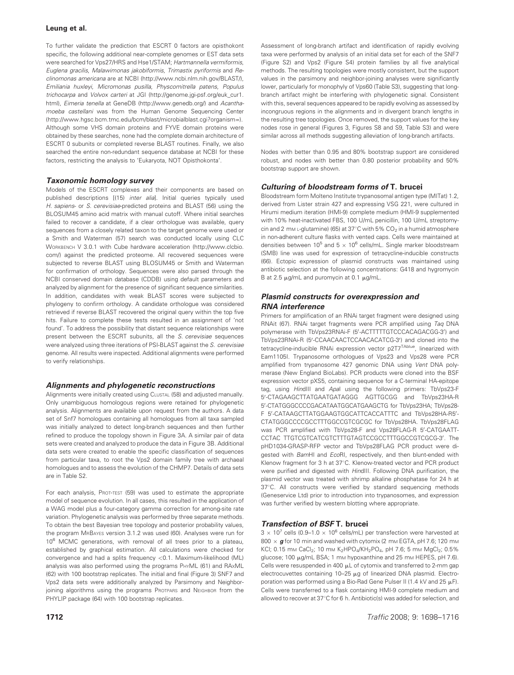To further validate the prediction that ESCRT 0 factors are opisthokont specific, the following additional near-complete genomes or EST data sets were searched for Vps27/HRS and Hse1/STAM; Hartmannella vermiformis, Euglena gracilis, Malawimonas jakobiformis, Trimastix pyriformis and Reclinomonas americana are at NCBI (http://www.ncbi.nlm.nih.gov/BLAST/), Emiliania huxleyi, Micromonas pusilla, Physcomitrella patens, Populus trichocarpa and Volvox carteri at JGI (http://genome.jgi-psf.org/euk\_cur1. html), Eimeria tenella at GeneDB (http://www.genedb.org/) and Acanthamoeba castellani was from the Human Genome Sequencing Center (http://www.hgsc.bcm.tmc.edu/bcm/blast/microbialblast.cgi?organism=). Although some VHS domain proteins and FYVE domain proteins were obtained by these searches, none had the complete domain architecture of ESCRT 0 subunits or completed reverse BLAST routines. Finally, we also searched the entire non-redundant sequence database at NCBI for these factors, restricting the analysis to 'Eukaryota, NOT Opisthokonta'.

## Taxonomic homology survey

Models of the ESCRT complexes and their components are based on published descriptions [(15) inter alia]. Initial queries typically used H. sapiens- or S. cerevisiae-predicted proteins and BLAST (56) using the BLOSUM45 amino acid matrix with manual cutoff. Where initial searches failed to recover a candidate, if a clear orthologue was available, query sequences from a closely related taxon to the target genome were used or a Smith and Waterman (57) search was conducted locally using CLC WORKBENCH V 3.0.1 with Cube hardware acceleration (http://www.clcbio. com/) against the predicted proteome. All recovered sequences were subjected to reverse BLAST using BLOSUM45 or Smith and Waterman for confirmation of orthology. Sequences were also parsed through the NCBI conserved domain database (CDDB) using default parameters and analyzed by alignment for the presence of significant sequence similarities. In addition, candidates with weak BLAST scores were subjected to phylogeny to confirm orthology. A candidate orthologue was considered retrieved if reverse BLAST recovered the original query within the top five hits. Failure to complete these tests resulted in an assignment of 'not found'. To address the possibility that distant sequence relationships were present between the ESCRT subunits, all the S. cerevisiae sequences were analyzed using three iterations of PSI-BLAST against the S. cerevisiae genome. All results were inspected. Additional alignments were performed to verify relationships.

## Alignments and phylogenetic reconstructions

Alignments were initially created using CLUSTAL (58) and adjusted manually. Only unambiguous homologous regions were retained for phylogenetic analysis. Alignments are available upon request from the authors. A data set of Snf7 homologues containing all homologues from all taxa sampled was initially analyzed to detect long-branch sequences and then further refined to produce the topology shown in Figure 3A. A similar pair of data sets were created and analyzed to produce the data in Figure 3B. Additional data sets were created to enable the specific classification of sequences from particular taxa, to root the Vps2 domain family tree with archaeal homologues and to assess the evolution of the CHMP7. Details of data sets are in Table S2.

For each analysis, PROT-TEST (59) was used to estimate the appropriate model of sequence evolution. In all cases, this resulted in the application of a WAG model plus a four-category gamma correction for among-site rate variation. Phylogenetic analysis was performed by three separate methods. To obtain the best Bayesian tree topology and posterior probability values, the program MRBAYES version 3.1.2 was used (60). Analyses were run for 10<sup>6</sup> MCMC generations, with removal of all trees prior to a plateau, established by graphical estimation. All calculations were checked for convergence and had a splits frequency <0.1. Maximum-likelihood (ML) analysis was also performed using the programs PHYML (61) and RAxML (62) with 100 bootstrap replicates. The initial and final (Figure 3) SNF7 and Vps2 data sets were additionally analyzed by Parsimony and Neighborjoining algorithms using the programs ProtPARS and NEIGHBOR from the PHYLIP package (64) with 100 bootstrap replicates.

Assessment of long-branch artifact and identification of rapidly evolving taxa were performed by analysis of an initial data set for each of the SNF7 (Figure S2) and Vps2 (Figure S4) protein families by all five analytical methods. The resulting topologies were mostly consistent, but the support values in the parsimony and neighbor-joining analyses were significantly lower, particularly for monophyly of Vps60 (Table S3), suggesting that longbranch artifact might be interfering with phylogenetic signal. Consistent with this, several sequences appeared to be rapidly evolving as assessed by incongruous regions in the alignments and in divergent branch lengths in the resulting tree topologies. Once removed, the support values for the key nodes rose in general (Figures 3, Figures S8 and S9, Table S3) and were similar across all methods suggesting alleviation of long-branch artifacts.

Nodes with better than 0.95 and 80% bootstrap support are considered robust, and nodes with better than 0.80 posterior probability and 50% bootstrap support are shown.

## Culturing of bloodstream forms of T. brucei

Bloodstream form Molteno Institute trypanosomal antigen type (MITat) 1.2, derived from Lister strain 427 and expressing VSG 221, were cultured in Hirumi medium iteration (HMI-9) complete medium (HMI-9 supplemented with 10% heat-inactivated FBS, 100 U/mL penicillin, 100 U/mL streptomycin and 2 mm L-glutamine) (65) at 37°C with 5%  $CO<sub>2</sub>$  in a humid atmosphere in non-adherent culture flasks with vented caps. Cells were maintained at densities between 10<sup>5</sup> and 5  $\times$  10<sup>6</sup> cells/mL. Single marker bloodstream (SMB) line was used for expression of tetracycline-inducible constructs (66). Ectopic expression of plasmid constructs was maintained using antibiotic selection at the following concentrations: G418 and hygromycin B at 2.5  $\mu$ g/mL and puromycin at 0.1  $\mu$ g/mL.

## Plasmid constructs for overexpression and RNA interference

Primers for amplification of an RNAi target fragment were designed using RNAit (67). RNAi target fragments were PCR amplified using Taq DNA polymerase with TbVps23RNAi-F (5'-ACTTTTTGTCCCACAGACGG-3') and TbVps23RNAi-R (5'-CCAACAACTCCAACACATCG-3') and cloned into the tetracycline-inducible RNAi expression vector p2T7<sup>TAblue</sup>, linearized with Eam1105I. Trypanosome orthologues of Vps23 and Vps28 were PCR amplified from trypanosome 427 genomic DNA using Vent DNA polymerase (New England BioLabs). PCR products were cloned into the BSF expression vector pXS5, containing sequence for a C-terminal HA-epitope tag, using HindIII and Apal using the following primers: TbVps23-F 5'-CTAGAAGCTTATGAATGATAGGG AGTTGCGG and TbVps23HA-R 5'-CTATGGGCCCCGACATAATGGCATGAAGCTG for TbVps23HA; TbVps28-F 5'-CATAAGCTTATGGAAGTGGCATTCACCATTTC and TbVps28HA-R5'-CTATGGGCCCCGCCTTTGGCCGTCGCGC for TbVps28HA. TbVps28FLAG was PCR amplified with TbVps28-F and Vps28FLAG-R 5'-CATGAATT-CCTAC TTGTCGTCATCGTCTTTGTAGTCCGCCTTTGGCCGTCGCG-3'. The pHD1034-GRASP-RFP vector and TbVps28FLAG PCR product were digested with BamHI and EcoRI, respectively, and then blunt-ended with Klenow fragment for 3 h at 37°C. Klenow-treated vector and PCR product were purified and digested with HindIII. Following DNA purification, the plasmid vector was treated with shrimp alkaline phosphatase for 24 h at 37°C. All constructs were verified by standard sequencing methods (Geneservice Ltd) prior to introduction into trypanosomes, and expression was further verified by western blotting where appropriate.

## Transfection of BSF T. brucei

 $3 \times 10^7$  cells (0.9–1.0  $\times$  10<sup>6</sup> cells/mL) per transfection were harvested at 800  $\times$   $\bm{g}$  for 10 min and washed with cytomix (2 mm EGTA, pH 7.6; 120 mm KCl; 0.15 mm CaCl<sub>2</sub>; 10 mm K<sub>2</sub>HPO<sub>4</sub>/KH<sub>2</sub>PO<sub>4</sub>, pH 7.6; 5 mm MgCl<sub>2</sub>; 0.5% glucose; 100 μg/mL BSA; 1 mm hypoxanthine and 25 mm HEPES, pH 7.6). Cells were resuspended in 400  $\mu$ L of cytomix and transferred to 2-mm gap electrocuvettes containing  $10-25 \mu$ g of linearized DNA plasmid. Electroporation was performed using a Bio-Rad Gene Pulser II (1.4 kV and 25  $\mu$ F). Cells were transferred to a flask containing HMI-9 complete medium and allowed to recover at 37°C for 6 h. Antibiotic(s) was added for selection, and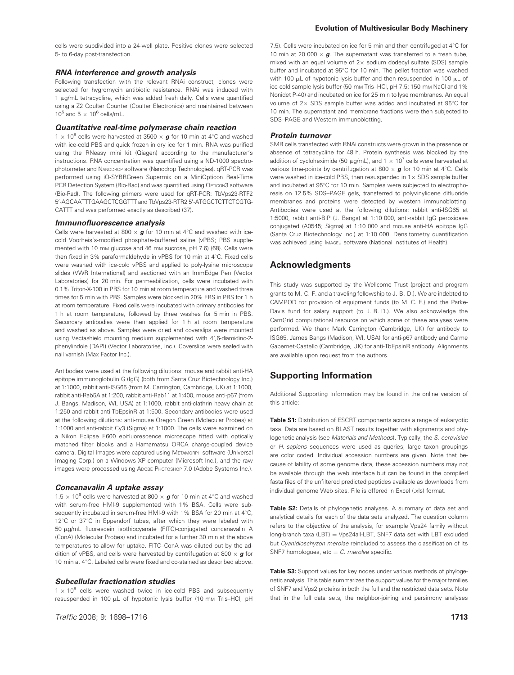cells were subdivided into a 24-well plate. Positive clones were selected 5- to 6-day post-transfection.

#### RNA interference and growth analysis

Following transfection with the relevant RNAi construct, clones were selected for hygromycin antibiotic resistance. RNAi was induced with  $1 \mu$ g/mL tetracycline, which was added fresh daily. Cells were quantified using a Z2 Coulter Counter (Coulter Electronics) and maintained between  $10^5$  and  $5 \times 10^6$  cells/mL.

#### Quantitative real-time polymerase chain reaction

1  $\times$  10<sup>8</sup> cells were harvested at 3500  $\times$  g for 10 min at 4°C and washed with ice-cold PBS and quick frozen in dry ice for 1 min. RNA was purified using the RNeasy mini kit (Qiagen) according to the manufacturer's instructions. RNA concentration was quantified using a ND-1000 spectrophotometer and NANODROP software (Nanodrop Technologies). qRT-PCR was performed using iQ-SYBRGreen Supermix on a MiniOpticon Real-Time PCR Detection System (Bio-Rad) and was quantified using OPTICON3 software (Bio-Rad). The following primers were used for qRT-PCR: TbVps23-RTF2 5'-AGCAATTTGAAGCTCGGTTT and TbVps23-RTR2 5'-ATGGCTCTTCTCGTG-CATTT and was performed exactly as described (37).

#### Immunofluorescence analysis

Cells were harvested at 800  $\times$   $\boldsymbol{g}$  for 10 min at 4°C and washed with icecold Voorheis's-modified phosphate-buffered saline (vPBS; PBS supplemented with 10 mm glucose and 46 mm sucrose, pH 7.6) (68). Cells were then fixed in 3% paraformaldehyde in vPBS for 10 min at  $4^{\circ}$ C. Fixed cells were washed with ice-cold vPBS and applied to poly-lysine microscope slides (VWR International) and sectioned with an ImmEdge Pen (Vector Laboratories) for 20 min. For permeabilization, cells were incubated with 0.1% Triton-X-100 in PBS for 10 min at room temperature and washed three times for 5 min with PBS. Samples were blocked in 20% FBS in PBS for 1 h at room temperature. Fixed cells were incubated with primary antibodies for 1 h at room temperature, followed by three washes for 5 min in PBS. Secondary antibodies were then applied for 1 h at room temperature and washed as above. Samples were dried and coverslips were mounted using Vectashield mounting medium supplemented with 4',6-diamidino-2 phenylindole (DAPI) (Vector Laboratories, Inc.). Coverslips were sealed with nail varnish (Max Factor Inc.).

Antibodies were used at the following dilutions: mouse and rabbit anti-HA epitope immunoglobulin G (IgG) (both from Santa Cruz Biotechnology Inc.) at 1:1000, rabbit anti-ISG65 (from M. Carrington, Cambridge, UK) at 1:1000, rabbit anti-Rab5A at 1:200, rabbit anti-Rab11 at 1:400, mouse anti-p67 (from J. Bangs, Madison, WI, USA) at 1:1000, rabbit anti-clathrin heavy chain at 1:250 and rabbit anti-TbEpsinR at 1:500. Secondary antibodies were used at the following dilutions: anti-mouse Oregon Green (Molecular Probes) at 1:1000 and anti-rabbit Cy3 (Sigma) at 1:1000. The cells were examined on a Nikon Eclipse E600 epifluorescence microscope fitted with optically matched filter blocks and a Hamamatsu ORCA charge-coupled device camera. Digital Images were captured using METAMORPH software (Universal Imaging Corp.) on a Windows XP computer (Microsoft Inc.), and the raw images were processed using ADOBE PHOTOSHOP 7.0 (Adobe Systems Inc.).

#### Concanavalin A uptake assay

1.5  $\times$  10<sup>6</sup> cells were harvested at 800  $\times$  g for 10 min at 4°C and washed with serum-free HMI-9 supplemented with 1% BSA. Cells were subsequently incubated in serum-free HMI-9 with 1% BSA for 20 min at 4°C, 12°C or 37°C in Eppendorf tubes, after which they were labeled with 50 mg/mL fluorescein isothiocyanate (FITC)-conjugated concanavalin A (ConA) (Molecular Probes) and incubated for a further 30 min at the above temperatures to allow for uptake. FITC–ConA was diluted out by the addition of vPBS, and cells were harvested by centrifugation at 800  $\times$   $\bm{g}$  for 10 min at 4°C. Labeled cells were fixed and co-stained as described above.

#### Subcellular fractionation studies

 $1 \times 10^8$  cells were washed twice in ice-cold PBS and subsequently resuspended in 100 µL of hypotonic lysis buffer (10 mm Tris-HCl, pH

**Traffic 2008; 9: 1698–1716** 1713 1713

#### Evolution of Multivesicular Body Machinery

7.5). Cells were incubated on ice for 5 min and then centrifuged at  $4^{\circ}$ C for 10 min at 20 000  $\times$  g. The supernatant was transferred to a fresh tube, mixed with an equal volume of  $2\times$  sodium dodecyl sulfate (SDS) sample buffer and incubated at 95°C for 10 min. The pellet fraction was washed with 100  $\mu$ L of hypotonic lysis buffer and then resuspended in 100  $\mu$ L of ice-cold sample lysis buffer (50 mm Tris–HCl, pH 7.5; 150 mm NaCl and 1% Nonidet P-40) and incubated on ice for 25 min to lyse membranes. An equal volume of  $2\times$  SDS sample buffer was added and incubated at 95 $\mathrm{°C}$  for 10 min. The supernatant and membrane fractions were then subjected to SDS–PAGE and Western immunoblotting.

#### Protein turnover

SMB cells transfected with RNAi constructs were grown in the presence or absence of tetracycline for 48 h. Protein synthesis was blocked by the addition of cycloheximide (50  $\mu$ g/mL), and 1  $\times$  10<sup>7</sup> cells were harvested at various time-points by centrifugation at 800  $\times$  g for 10 min at 4°C. Cells were washed in ice-cold PBS, then resuspended in 1 $\times$  SDS sample buffer and incubated at 95°C for 10 min. Samples were subjected to electrophoresis on 12.5% SDS–PAGE gels, transferred to polyvinylidene difluoride membranes and proteins were detected by western immunoblotting. Antibodies were used at the following dilutions: rabbit anti-ISG65 at 1:5000, rabbit anti-BiP (J. Bangs) at 1:10 000, anti-rabbit IgG peroxidase conjugated (A0545; Sigma) at 1:10 000 and mouse anti-HA epitope IgG (Santa Cruz Biotechnology Inc.) at 1:10 000. Densitometry quantification was achieved using IMAGEJ software (National Institutes of Health).

## Acknowledgments

This study was supported by the Wellcome Trust (project and program grants to M. C. F. and a traveling fellowship to J. B. D.). We are indebted to CAMPOD for provision of equipment funds (to M. C. F.) and the Parke-Davis fund for salary support (to J. B. D.). We also acknowledge the CamGrid computational resource on which some of these analyses were performed. We thank Mark Carrington (Cambridge, UK) for antibody to ISG65, James Bangs (Madison, WI, USA) for anti-p67 antibody and Carme Gabernet-Castello (Cambridge, UK) for anti-TbEpsinR antibody. Alignments are available upon request from the authors.

## Supporting Information

Additional Supporting Information may be found in the online version of this article:

Table S1: Distribution of ESCRT components across a range of eukaryotic taxa. Data are based on BLAST results together with alignments and phylogenetic analysis (see Materials and Methods). Typically, the S. cerevisiae or H. sapiens sequences were used as queries; large taxon groupings are color coded. Individual accession numbers are given. Note that because of lability of some genome data, these accession numbers may not be available through the web interface but can be found in the compiled fasta files of the unfiltered predicted peptides available as downloads from individual genome Web sites. File is offered in Excel (.xls) format.

Table S2: Details of phylogenetic analyses. A summary of data set and analytical details for each of the data sets analyzed. The question column refers to the objective of the analysis, for example Vps24 family without long-branch taxa (LBT) = Vps24all-LBT, SNF7 data set with LBT excluded but Cyanidioschyzon merolae reincluded to assess the classification of its SNF7 homologues, etc  $= C$ . merolae specific.

Table S3: Support values for key nodes under various methods of phylogenetic analysis. This table summarizes the support values for the major families of SNF7 and Vps2 proteins in both the full and the restricted data sets. Note that in the full data sets, the neighbor-joining and parsimony analyses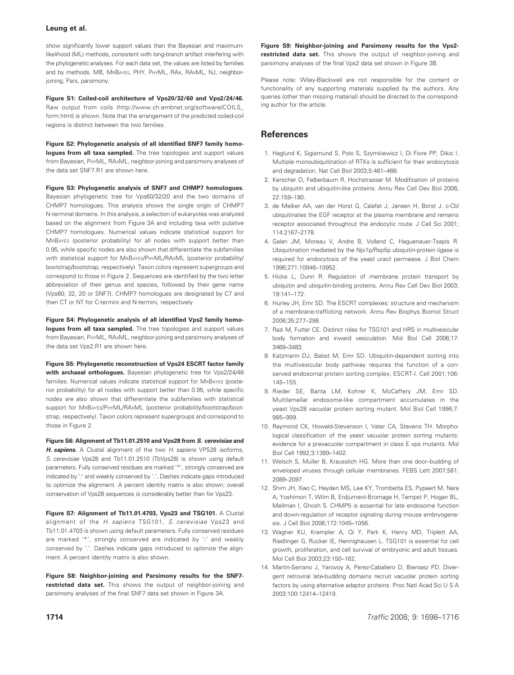show significantly lower support values than the Bayesian and maximumlikelihood (ML) methods, consistent with long-branch artifact interfering with the phylogenetic analyses. For each data set, the values are listed by families and by methods. MB, MRBAYES, PHY, PHYML, RAx, RAxML, NJ, neighborjoining, Pars, parsimony.

Figure S1: Coiled-coil architecture of Vps20/32/60 and Vps2/24/46. Raw output from coils (http://www.ch.embnet.org/software/COILS\_ form.html) is shown. Note that the arrangement of the predicted coiled-coil regions is distinct between the two families.

Figure S2: Phylogenetic analysis of all identified SNF7 family homologues from all taxa sampled. The tree topologies and support values from Bayesian, PHYML, RAxML, neighbor-joining and parsimony analyses of the data set SNF7.R1 are shown here.

Figure S3: Phylogenetic analysis of SNF7 and CHMP7 homologues. Bayesian phylogenetic tree for Vps60/32/20 and the two domains of

CHMP7 homologues. This analysis shows the single origin of CHMP7 N-terminal domains. In this analysis, a selection of eukaryotes was analyzed based on the alignment from Figure 3A and including taxa with putative CHMP7 homologues. Numerical values indicate statistical support for MRBAYES (posterior probability) for all nodes with support better than 0.95, while specific nodes are also shown that differentiate the subfamilies with statistical support for MRBAYES/PHYML/RAXML (posterior probability/ bootstrap/bootstrap, respectively). Taxon colors represent supergroups and correspond to those in Figure 2. Sequences are identified by the two letter abbreviation of their genus and species, followed by their gene name (Vps60, 32, 20 or SNF7). CHMP7 homologues are designated by C7 and then CT or NT for C-termini and N-termini, respectively.

Figure S4: Phylogenetic analysis of all identified Vps2 family homologues from all taxa sampled. The tree topologies and support values from Bayesian, PHYML, RAXML, neighbor-joining and parsimony analyses of the data set Vps2.R1 are shown here.

Figure S5: Phylogenetic reconstruction of Vps24 ESCRT factor family with archaeal orthologues. Bayesian phylogenetic tree for Vps2/24/46 families. Numerical values indicate statistical support for MRBAYES (posterior probability) for all nodes with support better than 0.95, while specific nodes are also shown that differentiate the subfamilies with statistical support for MRBAYES/PHYML/RAxML (posterior probability/bootstrap/bootstrap, respectively). Taxon colors represent supergroups and correspond to those in Figure 2.

Figure S6: Alignment of Tb11.01.2510 and Vps28 from S. cerevisiae and H. sapiens. A Clustal alignment of the two H. sapiens VPS28 isoforms, S. cerevisiae Vps28 and Tb11.01.2510 (TbVps28) is shown using default parameters. Fully conserved residues are marked '\*', strongly conserved are indicated by ':' and weakly conserved by '.'. Dashes indicate gaps introduced to optimize the alignment. A percent identity matrix is also shown; overall conservation of Vps28 sequences is considerably better than for Vps23.

Figure S7: Alignment of Tb11.01.4703, Vps23 and TSG101. A Clustal alignment of the H. sapiens TSG101, S. cerevisiae Vps23 and Tb11.01.4703 is shown using default parameters. Fully conserved residues are marked '\*', strongly conserved are indicated by ':' and weakly conserved by '.'. Dashes indicate gaps introduced to optimize the alignment. A percent identity matrix is also shown.

Figure S8: Neighbor-joining and Parsimony results for the SNF7 restricted data set. This shows the output of neighbor-joining and parsimony analyses of the final SNF7 data set shown in Figure 3A.

Figure S9: Neighbor-joining and Parsimony results for the Vps2 restricted data set. This shows the output of neighbor-joining and parsimony analyses of the final Vps2 data set shown in Figure 3B.

Please note: Wiley-Blackwell are not responsible for the content or functionality of any supporting materials supplied by the authors. Any queries (other than missing material) should be directed to the corresponding author for the article.

# **References**

- 1. Haglund K, Sigismund S, Polo S, Szymkiewicz I, Di Fiore PP, Dikic I. Multiple monoubiquitination of RTKs is sufficient for their endocytosis and degradation. Nat Cell Biol 2003;5:461–466.
- 2. Kerscher O, Felberbaum R, Hochstrasser M. Modification of proteins by ubiquitin and ubiquitin-like proteins. Annu Rev Cell Dev Biol 2006; 22:159–180.
- 3. de Melker AA, van der Horst G, Calafat J, Jansen H, Borst J. c-Cbl ubiquitinates the EGF receptor at the plasma membrane and remains receptor associated throughout the endocytic route. J Cell Sci 2001; 114:2167–2178.
- 4. Galan JM, Moreau V, Andre B, Volland C, Haguenauer-Tsapis R. Ubiquitination mediated by the Npi1p/Rsp5p ubiquitin-protein ligase is required for endocytosis of the yeast uracil permease. J Biol Chem 1996;271:10946–10952.
- 5. Hicke L, Dunn R. Regulation of membrane protein transport by ubiquitin and ubiquitin-binding proteins. Annu Rev Cell Dev Biol 2003; 19:141–172.
- 6. Hurley JH, Emr SD. The ESCRT complexes: structure and mechanism of a membrane-trafficking network. Annu Rev Biophys Biomol Struct 2006;35:277–298.
- 7. Razi M, Futter CE. Distinct roles for TSG101 and HRS in multivesicular body formation and inward vesiculation. Mol Biol Cell 2006;17: 3469–3483.
- 8. Katzmann DJ, Babst M, Emr SD. Ubiquitin-dependent sorting into the multivesicular body pathway requires the function of a conserved endosomal protein sorting complex, ESCRT-I. Cell 2001;106: 145–155.
- 9. Rieder SE, Banta LM, Kohrer K, McCaffery JM, Emr SD. Multilamellar endosome-like compartment accumulates in the yeast Vps28 vacuolar protein sorting mutant. Mol Biol Cell 1996;7: 985–999.
- 10. Raymond CK, Howald-Stevenson I, Vater CA, Stevens TH. Morphological classification of the yeast vacuolar protein sorting mutants: evidence for a prevacuolar compartment in class E vps mutants. Mol Biol Cell 1992;3:1389–1402.
- 11. Welsch S, Muller B, Krausslich HG. More than one door–budding of enveloped viruses through cellular membranes. FEBS Lett 2007;581: 2089–2097.
- 12. Shim JH, Xiao C, Hayden MS, Lee KY, Trombetta ES, Pypaert M, Nara A, Yoshimori T, Wilm B, Erdjument-Bromage H, Tempst P, Hogan BL, Mellman I, Ghosh S. CHMP5 is essential for late endosome function and down-regulation of receptor signaling during mouse embryogenesis. J Cell Biol 2006;172:1045–1056.
- 13. Wagner KU, Krempler A, Qi Y, Park K, Henry MD, Triplett AA, Riedlinger G, Rucker IE, Hennighausen L. TSG101 is essential for cell growth, proliferation, and cell survival of embryonic and adult tissues. Mol Cell Biol 2003;23:150–162.
- 14. Martin-Serrano J, Yarovoy A, Perez-Caballero D, Bieniasz PD. Divergent retroviral late-budding domains recruit vacuolar protein sorting factors by using alternative adaptor proteins. Proc Natl Acad Sci U S A 2003;100:12414–12419.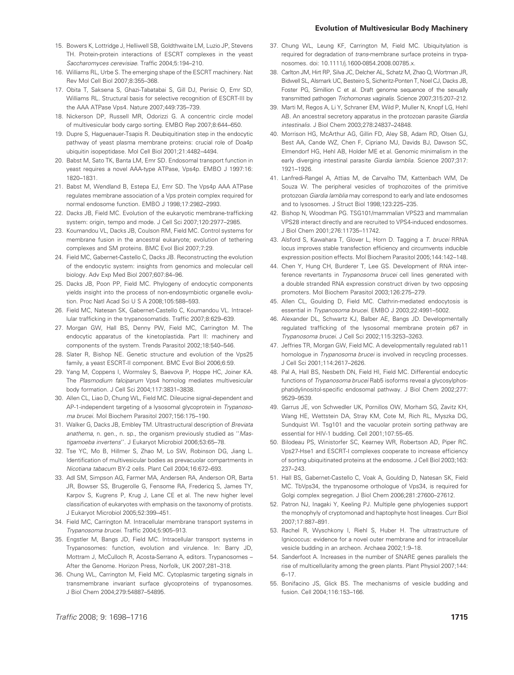- 15. Bowers K, Lottridge J, Helliwell SB, Goldthwaite LM, Luzio JP, Stevens TH. Protein-protein interactions of ESCRT complexes in the yeast Saccharomyces cerevisiae. Traffic 2004;5:194–210.
- 16. Williams RL, Urbe S. The emerging shape of the ESCRT machinery. Nat Rev Mol Cell Biol 2007;8:355–368.
- 17. Obita T, Saksena S, Ghazi-Tabatabai S, Gill DJ, Perisic O, Emr SD, Williams RL. Structural basis for selective recognition of ESCRT-III by the AAA ATPase Vps4. Nature 2007;449:735–739.
- 18. Nickerson DP, Russell MR, Odorizzi G. A concentric circle model of multivesicular body cargo sorting. EMBO Rep 2007;8:644–650.
- 19. Dupre S, Haguenauer-Tsapis R. Deubiquitination step in the endocytic pathway of yeast plasma membrane proteins: crucial role of Doa4p ubiquitin isopeptidase. Mol Cell Biol 2001;21:4482–4494.
- 20. Babst M, Sato TK, Banta LM, Emr SD. Endosomal transport function in yeast requires a novel AAA-type ATPase, Vps4p. EMBO J 1997:16: 1820–1831.
- 21. Babst M, Wendland B, Estepa EJ, Emr SD. The Vps4p AAA ATPase regulates membrane association of a Vps protein complex required for normal endosome function. EMBO J 1998;17:2982–2993.
- 22. Dacks JB, Field MC. Evolution of the eukaryotic membrane-trafficking system: origin, tempo and mode. J Cell Sci 2007;120:2977–2985.
- 23. Koumandou VL, Dacks JB, Coulson RM, Field MC. Control systems for membrane fusion in the ancestral eukaryote; evolution of tethering complexes and SM proteins. BMC Evol Biol 2007;7:29.
- 24. Field MC, Gabernet-Castello C, Dacks JB. Reconstructing the evolution of the endocytic system: insights from genomics and molecular cell biology. Adv Exp Med Biol 2007;607:84–96.
- 25. Dacks JB, Poon PP, Field MC. Phylogeny of endocytic components yields insight into the process of non-endosymbiotic organelle evolution. Proc Natl Acad Sci U S A 2008;105:588–593.
- 26. Field MC, Natesan SK, Gabernet-Castello C, Koumandou VL. Intracellular trafficking in the trypanosomatids. Traffic 2007;8:629–639.
- 27. Morgan GW, Hall BS, Denny PW, Field MC, Carrington M. The endocytic apparatus of the kinetoplastida. Part II: machinery and components of the system. Trends Parasitol 2002;18:540–546.
- 28. Slater R, Bishop NE. Genetic structure and evolution of the Vps25 family, a yeast ESCRT-II component. BMC Evol Biol 2006;6:59.
- 29. Yang M, Coppens I, Wormsley S, Baevova P, Hoppe HC, Joiner KA. The Plasmodium falciparum Vps4 homolog mediates multivesicular body formation. J Cell Sci 2004;117:3831–3838.
- 30. Allen CL, Liao D, Chung WL, Field MC. Dileucine signal-dependent and AP-1-independent targeting of a lysosomal glycoprotein in Trypanosoma brucei. Mol Biochem Parasitol 2007;156:175–190.
- 31. Walker G, Dacks JB, Embley TM. Ultrastructural description of Breviata anathema, n. gen., n. sp., the organism previously studied as "Mastigamoeba invertens''. J Eukaryot Microbiol 2006;53:65–78.
- 32. Tse YC, Mo B, Hillmer S, Zhao M, Lo SW, Robinson DG, Jiang L. Identification of multivesicular bodies as prevacuolar compartments in Nicotiana tabacum BY-2 cells. Plant Cell 2004;16:672–693.
- 33. Adl SM, Simpson AG, Farmer MA, Andersen RA, Anderson OR, Barta JR, Bowser SS, Brugerolle G, Fensome RA, Fredericq S, James TY, Karpov S, Kugrens P, Krug J, Lane CE et al. The new higher level classification of eukaryotes with emphasis on the taxonomy of protists. J Eukaryot Microbiol 2005;52:399–451.
- 34. Field MC, Carrington M. Intracellular membrane transport systems in Trypanosoma brucei. Traffic 2004;5:905–913.
- 35. Engstler M, Bangs JD, Field MC. Intracellular transport systems in Trypanosomes: function, evolution and virulence. In: Barry JD, Mottram J, McCulloch R, Acosta-Serrano A, editors. Trypanosomes – After the Genome. Horizon Press, Norfolk, UK 2007;281–318.
- 36. Chung WL, Carrington M, Field MC. Cytoplasmic targeting signals in transmembrane invariant surface glycoproteins of trypanosomes. J Biol Chem 2004;279:54887–54895.
- 37. Chung WL, Leung KF, Carrington M, Field MC. Ubiquitylation is required for degradation of trans-membrane surface proteins in trypanosomes. doi: 10.1111/j.1600-0854.2008.00785.x.
- 38. Carlton JM, Hirt RP, Silva JC, Delcher AL, Schatz M, Zhao Q, Wortman JR, Bidwell SL, Alsmark UC, Besteiro S, Sicheritz-Ponten T, Noel CJ, Dacks JB, Foster PG, Simillion C et al. Draft genome sequence of the sexually transmitted pathogen Trichomonas vaginalis. Science 2007;315:207–212.
- 39. Marti M, Regos A, Li Y, Schraner EM, Wild P, Muller N, Knopf LG, Hehl AB. An ancestral secretory apparatus in the protozoan parasite Giardia intestinalis. J Biol Chem 2003;278:24837–24848.
- 40. Morrison HG, McArthur AG, Gillin FD, Aley SB, Adam RD, Olsen GJ, Best AA, Cande WZ, Chen F, Cipriano MJ, Davids BJ, Dawson SC, Elmendorf HG, Hehl AB, Holder ME et al. Genomic minimalism in the early diverging intestinal parasite Giardia lamblia. Science 2007;317: 1921–1926.
- 41. Lanfredi-Rangel A, Attias M, de Carvalho TM, Kattenbach WM, De Souza W. The peripheral vesicles of trophozoites of the primitive protozoan Giardia lamblia may correspond to early and late endosomes and to lysosomes. J Struct Biol 1998;123:225–235.
- 42. Bishop N, Woodman PG. TSG101/mammalian VPS23 and mammalian VPS28 interact directly and are recruited to VPS4-induced endosomes. J Biol Chem 2001;276:11735–11742.
- 43. Alsford S, Kawahara T, Glover L, Horn D. Tagging a T. brucei RRNA locus improves stable transfection efficiency and circumvents inducible expression position effects. Mol Biochem Parasitol 2005;144:142–148.
- 44. Chen Y, Hung CH, Burderer T, Lee GS. Development of RNA interference revertants in Trypanosoma brucei cell lines generated with a double stranded RNA expression construct driven by two opposing promoters. Mol Biochem Parasitol 2003;126:275–279.
- 45. Allen CL, Goulding D, Field MC. Clathrin-mediated endocytosis is essential in Trypanosoma brucei. EMBO J 2003;22:4991–5002.
- 46. Alexander DL, Schwartz KJ, Balber AE, Bangs JD. Developmentally regulated trafficking of the lysosomal membrane protein p67 in Trypanosoma brucei. J Cell Sci 2002;115:3253–3263.
- 47. Jeffries TR, Morgan GW, Field MC. A developmentally regulated rab11 homologue in Trypanosoma brucei is involved in recycling processes. J Cell Sci 2001;114:2617–2626.
- 48. Pal A, Hall BS, Nesbeth DN, Field HI, Field MC. Differential endocytic functions of *Trypanosoma brucei* Rab5 isoforms reveal a glycosylphosphatidylinositol-specific endosomal pathway. J Biol Chem 2002;277: 9529–9539.
- 49. Garrus JE, von Schwedler UK, Pornillos OW, Morham SG, Zavitz KH, Wang HE, Wettstein DA, Stray KM, Cote M, Rich RL, Myszka DG, Sundquist WI. Tsg101 and the vacuolar protein sorting pathway are essential for HIV-1 budding. Cell 2001;107:55–65.
- 50. Bilodeau PS, Winistorfer SC, Kearney WR, Robertson AD, Piper RC. Vps27-Hse1 and ESCRT-I complexes cooperate to increase efficiency of sorting ubiquitinated proteins at the endosome. J Cell Biol 2003;163: 237–243.
- 51. Hall BS, Gabernet-Castello C, Voak A, Goulding D, Natesan SK, Field MC. TbVps34, the trypanosome orthologue of Vps34, is required for Golgi complex segregation. J Biol Chem 2006;281:27600–27612.
- 52. Patron NJ, Inagaki Y, Keeling PJ. Multiple gene phylogenies support the monophyly of cryptomonad and haptophyte host lineages. Curr Biol 2007;17:887–891.
- 53. Rachel R, Wyschkony I, Riehl S, Huber H. The ultrastructure of Ignicoccus: evidence for a novel outer membrane and for intracellular vesicle budding in an archeon. Archaea 2002;1:9–18.
- 54. Sanderfoot A. Increases in the number of SNARE genes parallels the rise of multicellularity among the green plants. Plant Physiol 2007;144: 6–17.
- 55. Bonifacino JS, Glick BS. The mechanisms of vesicle budding and fusion. Cell 2004;116:153–166.